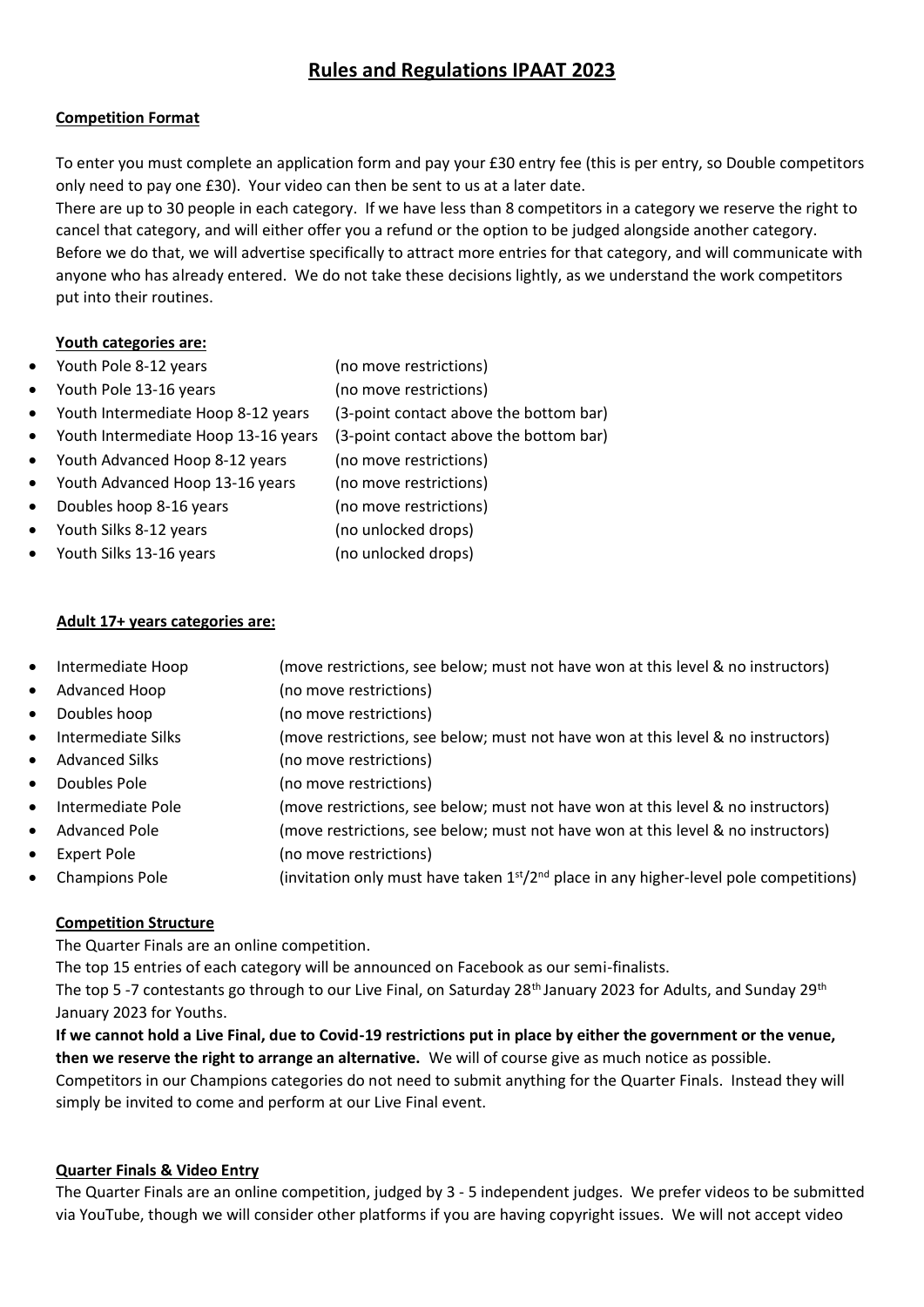# **Rules and Regulations IPAAT 2023**

# **Competition Format**

To enter you must complete an application form and pay your £30 entry fee (this is per entry, so Double competitors only need to pay one £30). Your video can then be sent to us at a later date.

There are up to 30 people in each category. If we have less than 8 competitors in a category we reserve the right to cancel that category, and will either offer you a refund or the option to be judged alongside another category. Before we do that, we will advertise specifically to attract more entries for that category, and will communicate with anyone who has already entered. We do not take these decisions lightly, as we understand the work competitors put into their routines.

### **Youth categories are:**

- Youth Pole 8-12 years (no move restrictions)
- Youth Pole 13-16 years (no move restrictions)
- Youth Intermediate Hoop 8-12 years (3-point contact above the bottom bar)
- Youth Intermediate Hoop 13-16 years (3-point contact above the bottom bar)
- Youth Advanced Hoop 8-12 years (no move restrictions)
- Youth Advanced Hoop 13-16 years (no move restrictions)
- Doubles hoop 8-16 years (no move restrictions)
- Youth Silks 8-12 years (no unlocked drops)
- Youth Silks 13-16 years (no unlocked drops)

### **Adult 17+ years categories are:**

- Intermediate Hoop (move restrictions, see below; must not have won at this level & no instructors)
- Advanced Hoop (no move restrictions)
- Doubles hoop (no move restrictions)
- Intermediate Silks (move restrictions, see below; must not have won at this level & no instructors)
- Advanced Silks (no move restrictions)
- Doubles Pole (no move restrictions)
- Intermediate Pole (move restrictions, see below; must not have won at this level & no instructors)
- Advanced Pole (move restrictions, see below; must not have won at this level & no instructors)
- Expert Pole (no move restrictions)
- Champions Pole (invitation only must have taken  $1<sup>st</sup>/2<sup>nd</sup>$  place in any higher-level pole competitions)

# **Competition Structure**

The Quarter Finals are an online competition.

The top 15 entries of each category will be announced on Facebook as our semi-finalists.

The top 5-7 contestants go through to our Live Final, on Saturday 28<sup>th</sup> January 2023 for Adults, and Sunday 29<sup>th</sup> January 2023 for Youths.

**If we cannot hold a Live Final, due to Covid-19 restrictions put in place by either the government or the venue, then we reserve the right to arrange an alternative.** We will of course give as much notice as possible. Competitors in our Champions categories do not need to submit anything for the Quarter Finals. Instead they will simply be invited to come and perform at our Live Final event.

# **Quarter Finals & Video Entry**

The Quarter Finals are an online competition, judged by 3 - 5 independent judges. We prefer videos to be submitted via YouTube, though we will consider other platforms if you are having copyright issues. We will not accept video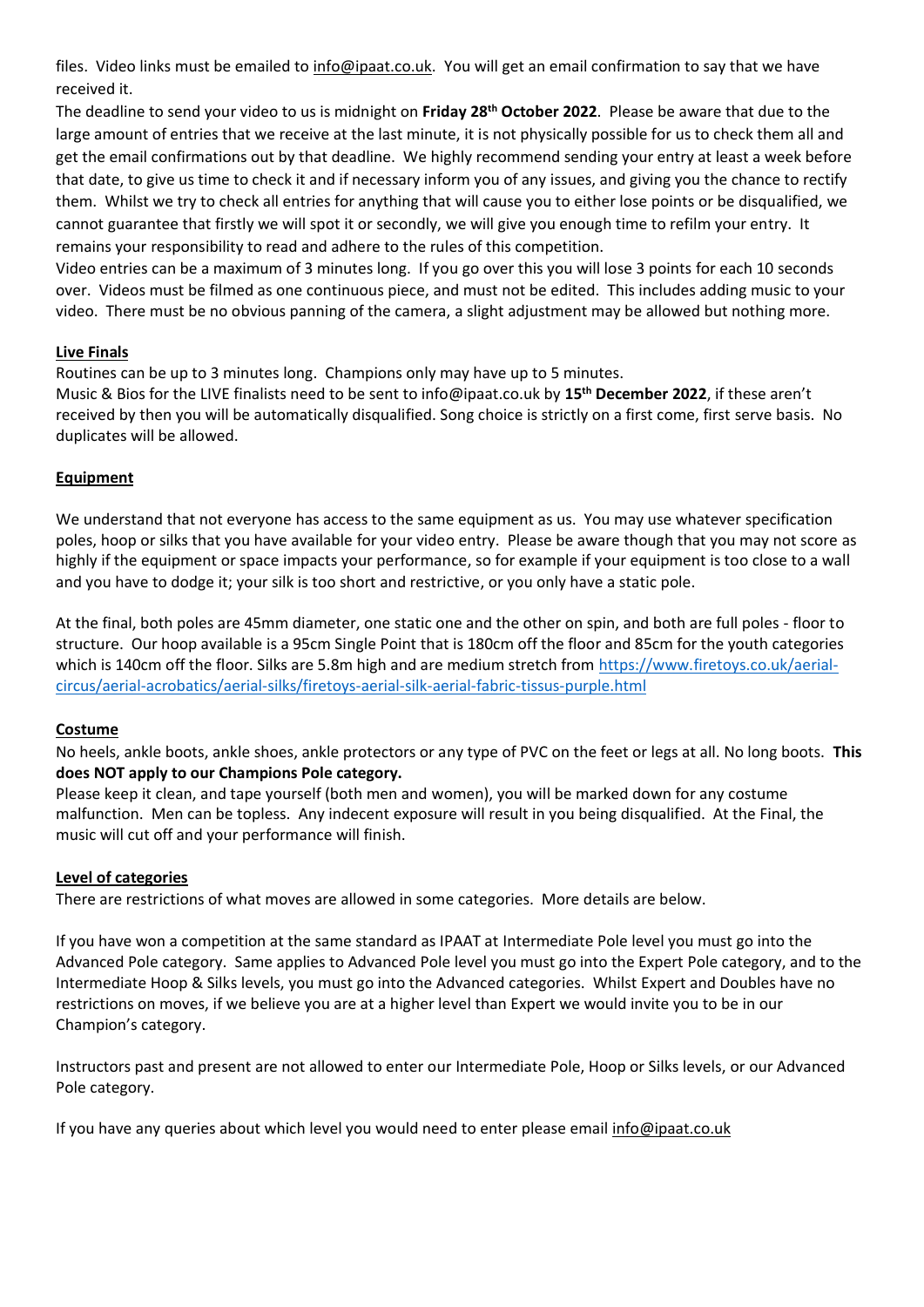files. Video links must be emailed to [info@ipaat.co.uk.](mailto:info@ipaat.co.uk) You will get an email confirmation to say that we have received it.

The deadline to send your video to us is midnight on **Friday 28th October 2022**. Please be aware that due to the large amount of entries that we receive at the last minute, it is not physically possible for us to check them all and get the email confirmations out by that deadline. We highly recommend sending your entry at least a week before that date, to give us time to check it and if necessary inform you of any issues, and giving you the chance to rectify them. Whilst we try to check all entries for anything that will cause you to either lose points or be disqualified, we cannot guarantee that firstly we will spot it or secondly, we will give you enough time to refilm your entry. It remains your responsibility to read and adhere to the rules of this competition.

Video entries can be a maximum of 3 minutes long. If you go over this you will lose 3 points for each 10 seconds over. Videos must be filmed as one continuous piece, and must not be edited. This includes adding music to your video. There must be no obvious panning of the camera, a slight adjustment may be allowed but nothing more.

# **Live Finals**

Routines can be up to 3 minutes long. Champions only may have up to 5 minutes.

Music & Bios for the LIVE finalists need to be sent to info@ipaat.co.uk by **15th December 2022**, if these aren't received by then you will be automatically disqualified. Song choice is strictly on a first come, first serve basis. No duplicates will be allowed.

# **Equipment**

We understand that not everyone has access to the same equipment as us. You may use whatever specification poles, hoop or silks that you have available for your video entry. Please be aware though that you may not score as highly if the equipment or space impacts your performance, so for example if your equipment is too close to a wall and you have to dodge it; your silk is too short and restrictive, or you only have a static pole.

At the final, both poles are 45mm diameter, one static one and the other on spin, and both are full poles - floor to structure. Our hoop available is a 95cm Single Point that is 180cm off the floor and 85cm for the youth categories which is 140cm off the floor. Silks are 5.8m high and are medium stretch from [https://www.firetoys.co.uk/aerial](https://www.firetoys.co.uk/aerial-circus/aerial-acrobatics/aerial-silks/firetoys-aerial-silk-aerial-fabric-tissus-purple.html)[circus/aerial-acrobatics/aerial-silks/firetoys-aerial-silk-aerial-fabric-tissus-purple.html](https://www.firetoys.co.uk/aerial-circus/aerial-acrobatics/aerial-silks/firetoys-aerial-silk-aerial-fabric-tissus-purple.html)

#### **Costume**

No heels, ankle boots, ankle shoes, ankle protectors or any type of PVC on the feet or legs at all. No long boots. **This does NOT apply to our Champions Pole category.**

Please keep it clean, and tape yourself (both men and women), you will be marked down for any costume malfunction. Men can be topless. Any indecent exposure will result in you being disqualified. At the Final, the music will cut off and your performance will finish.

# **Level of categories**

There are restrictions of what moves are allowed in some categories. More details are below.

If you have won a competition at the same standard as IPAAT at Intermediate Pole level you must go into the Advanced Pole category. Same applies to Advanced Pole level you must go into the Expert Pole category, and to the Intermediate Hoop & Silks levels, you must go into the Advanced categories. Whilst Expert and Doubles have no restrictions on moves, if we believe you are at a higher level than Expert we would invite you to be in our Champion's category.

Instructors past and present are not allowed to enter our Intermediate Pole, Hoop or Silks levels, or our Advanced Pole category.

If you have any queries about which level you would need to enter please email [info@ipaat.co.uk](mailto:info@ipaat.co.uk)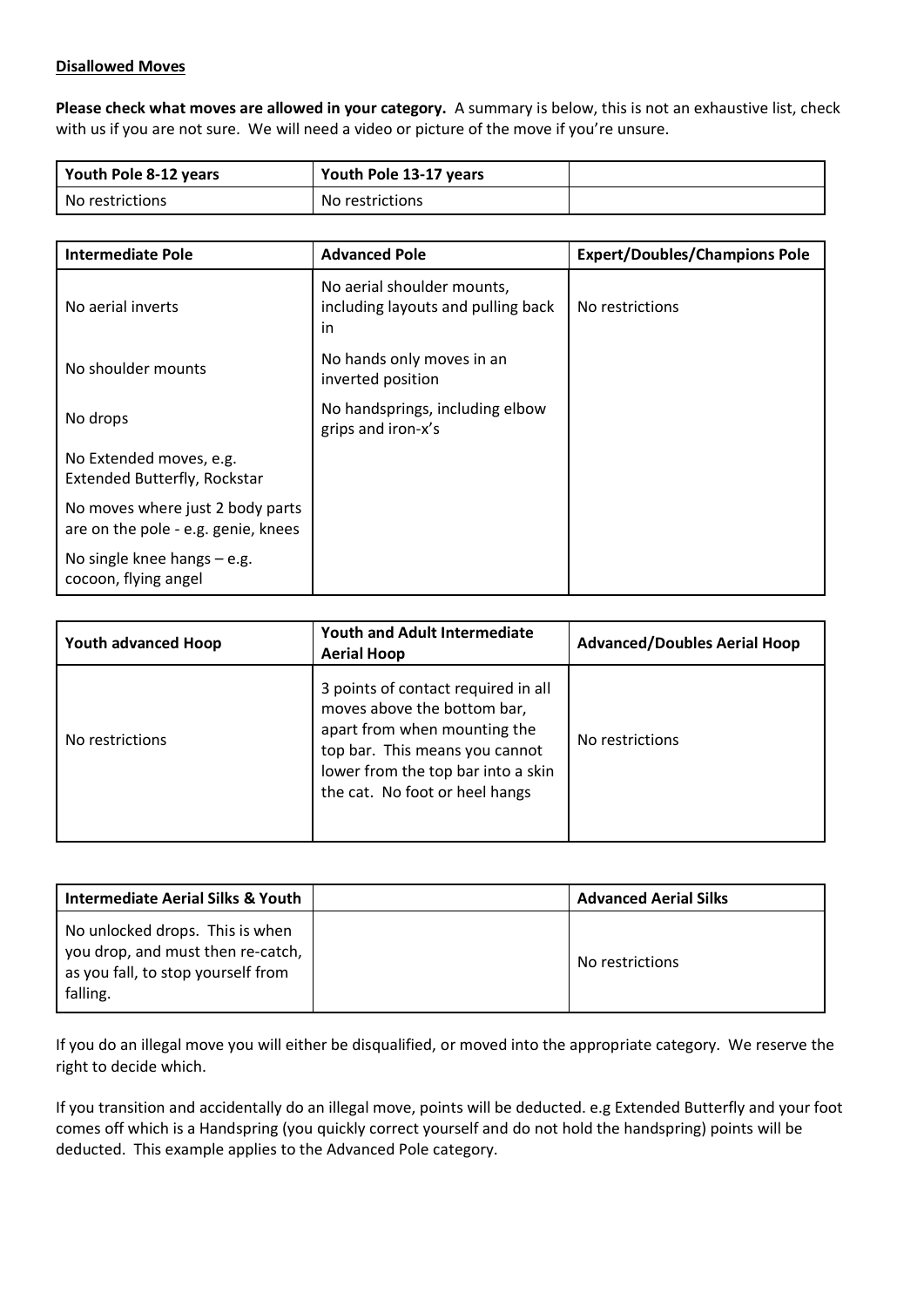#### **Disallowed Moves**

**Please check what moves are allowed in your category.** A summary is below, this is not an exhaustive list, check with us if you are not sure. We will need a video or picture of the move if you're unsure.

| Youth Pole 8-12 years | Youth Pole 13-17 years |  |
|-----------------------|------------------------|--|
| No restrictions       | No restrictions        |  |

| <b>Intermediate Pole</b>                                                | <b>Advanced Pole</b>                                                   | <b>Expert/Doubles/Champions Pole</b> |
|-------------------------------------------------------------------------|------------------------------------------------------------------------|--------------------------------------|
| No aerial inverts                                                       | No aerial shoulder mounts,<br>including layouts and pulling back<br>in | No restrictions                      |
| No shoulder mounts                                                      | No hands only moves in an<br>inverted position                         |                                      |
| No drops                                                                | No handsprings, including elbow<br>grips and iron-x's                  |                                      |
| No Extended moves, e.g.<br>Extended Butterfly, Rockstar                 |                                                                        |                                      |
| No moves where just 2 body parts<br>are on the pole - e.g. genie, knees |                                                                        |                                      |
| No single knee hangs $-$ e.g.<br>cocoon, flying angel                   |                                                                        |                                      |

| <b>Youth advanced Hoop</b> | Youth and Adult Intermediate<br><b>Aerial Hoop</b>                                                                                                                                                           | <b>Advanced/Doubles Aerial Hoop</b> |
|----------------------------|--------------------------------------------------------------------------------------------------------------------------------------------------------------------------------------------------------------|-------------------------------------|
| No restrictions            | 3 points of contact required in all<br>moves above the bottom bar,<br>apart from when mounting the<br>top bar. This means you cannot<br>lower from the top bar into a skin<br>the cat. No foot or heel hangs | No restrictions                     |

| <b>Intermediate Aerial Silks &amp; Youth</b>                                                                           | <b>Advanced Aerial Silks</b> |
|------------------------------------------------------------------------------------------------------------------------|------------------------------|
| No unlocked drops. This is when<br>you drop, and must then re-catch,<br>as you fall, to stop yourself from<br>falling. | No restrictions              |

If you do an illegal move you will either be disqualified, or moved into the appropriate category. We reserve the right to decide which.

If you transition and accidentally do an illegal move, points will be deducted. e.g Extended Butterfly and your foot comes off which is a Handspring (you quickly correct yourself and do not hold the handspring) points will be deducted. This example applies to the Advanced Pole category.